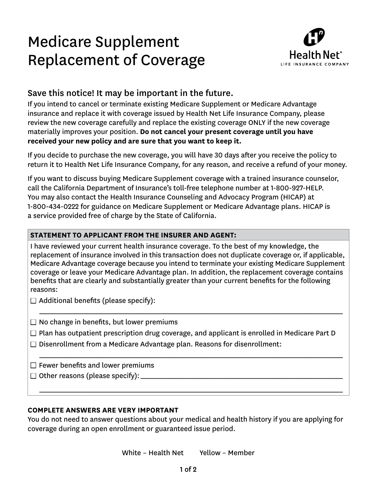# Medicare Supplement Replacement of Coverage



# Save this notice! It may be important in the future.

If you intend to cancel or terminate existing Medicare Supplement or Medicare Advantage insurance and replace it with coverage issued by Health Net Life Insurance Company, please review the new coverage carefully and replace the existing coverage ONLY if the new coverage materially improves your position. **Do not cancel your present coverage until you have received your new policy and are sure that you want to keep it.** 

If you decide to purchase the new coverage, you will have 30 days after you receive the policy to return it to Health Net Life Insurance Company, for any reason, and receive a refund of your money.

If you want to discuss buying Medicare Supplement coverage with a trained insurance counselor, call the California Department of Insurance's toll-free telephone number at 1-800-927-HELP. You may also contact the Health Insurance Counseling and Advocacy Program (HICAP) at 1-800-434-0222 for guidance on Medicare Supplement or Medicare Advantage plans. HICAP is a service provided free of charge by the State of California.

## **STATEMENT TO APPLICANT FROM THE INSURER AND AGENT:**

I have reviewed your current health insurance coverage. To the best of my knowledge, the replacement of insurance involved in this transaction does not duplicate coverage or, if applicable, Medicare Advantage coverage because you intend to terminate your existing Medicare Supplement coverage or leave your Medicare Advantage plan. In addition, the replacement coverage contains benefits that are clearly and substantially greater than your current benefits for the following reasons:

 $\Box$  Additional benefits (please specify):

 $\Box$  No change in benefits, but lower premiums

 $\Box$  Plan has outpatient prescription drug coverage, and applicant is enrolled in Medicare Part D

\_\_\_\_\_\_\_\_\_\_\_\_\_\_\_\_\_\_\_\_\_\_\_\_\_\_\_\_\_\_\_\_\_\_\_\_\_\_\_\_\_\_\_\_\_\_\_\_\_\_\_\_\_\_\_\_\_\_\_\_\_\_\_\_\_\_\_\_\_\_\_\_\_\_\_\_\_\_\_\_\_\_\_\_\_\_\_\_\_\_\_\_\_\_\_\_\_\_\_\_\_\_\_\_\_

\_\_\_\_\_\_\_\_\_\_\_\_\_\_\_\_\_\_\_\_\_\_\_\_\_\_\_\_\_\_\_\_\_\_\_\_\_\_\_\_\_\_\_\_\_\_\_\_\_\_\_\_\_\_\_\_\_\_\_\_\_\_\_\_\_\_\_\_\_\_\_\_\_\_\_\_\_\_\_\_\_\_\_\_\_\_\_\_\_\_\_\_\_\_\_\_\_\_\_\_\_\_\_\_\_

\_\_\_\_\_\_\_\_\_\_\_\_\_\_\_\_\_\_\_\_\_\_\_\_\_\_\_\_\_\_\_\_\_\_\_\_\_\_\_\_\_\_\_\_\_\_\_\_\_\_\_\_\_\_\_\_\_\_\_\_\_\_\_\_\_\_\_\_\_\_\_\_\_\_\_\_\_\_\_\_\_\_\_\_\_\_\_\_\_\_\_\_\_\_\_\_\_\_\_\_\_\_\_\_\_

 $\Box$  Disenrollment from a Medicare Advantage plan. Reasons for disenrollment:

 $\square$  Fewer benefits and lower premiums

 $\Box$  Other reasons (please specify):

#### **COMPLETE ANSWERS ARE VERY IMPORTANT**

You do not need to answer questions about your medical and health history if you are applying for coverage during an open enrollment or guaranteed issue period.

White – Health Net Yellow – Member